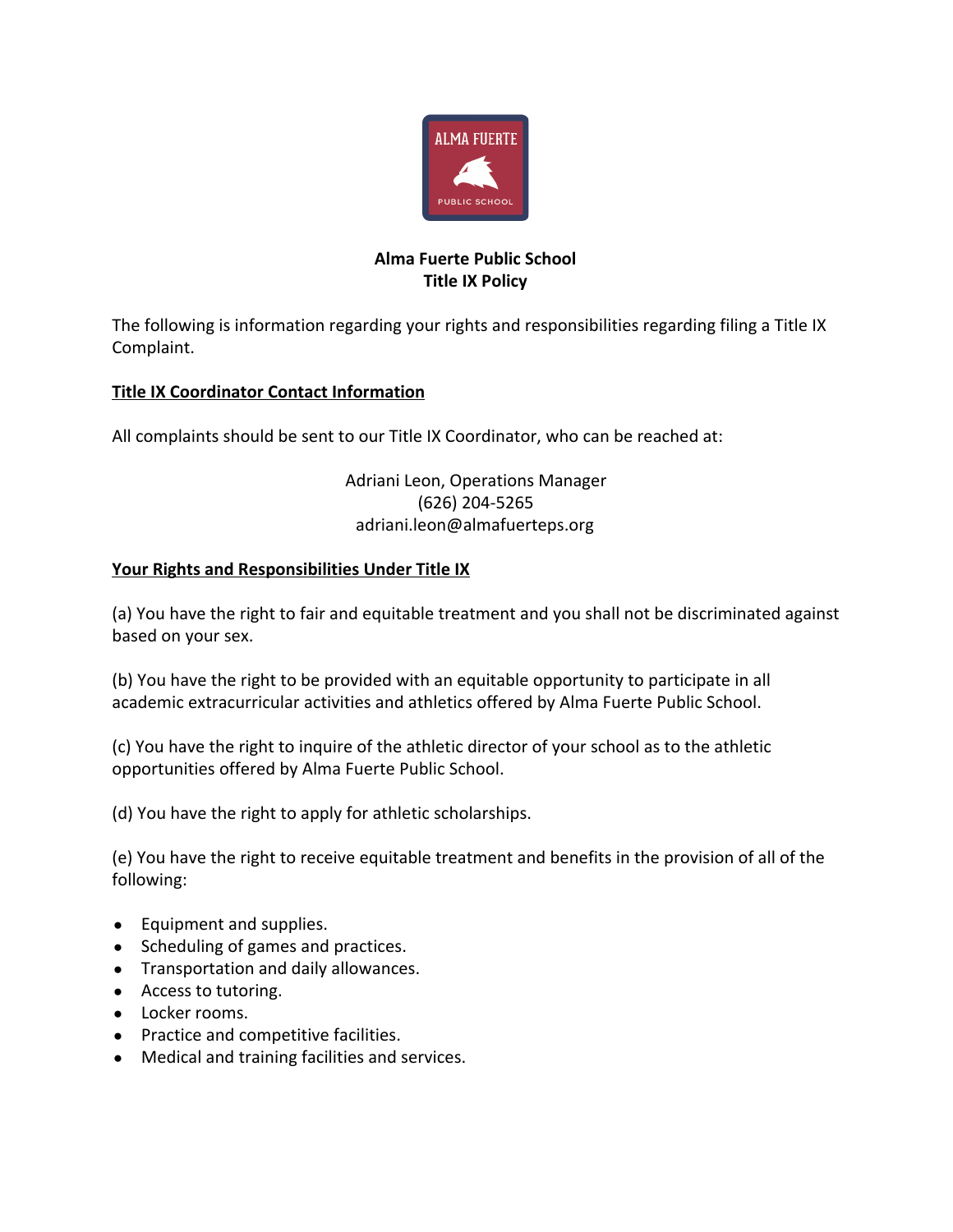

## **Alma Fuerte Public School Title IX Policy**

The following is information regarding your rights and responsibilities regarding filing a Title IX Complaint.

## **Title IX Coordinator Contact Information**

All complaints should be sent to our Title IX Coordinator, who can be reached at:

Adriani Leon, Operations Manager (626) 204-5265 adriani.leon@almafuerteps.org

## **Your Rights and Responsibilities Under Title IX**

(a) You have the right to fair and equitable treatment and you shall not be discriminated against based on your sex.

(b) You have the right to be provided with an equitable opportunity to participate in all academic extracurricular activities and athletics offered by Alma Fuerte Public School.

(c) You have the right to inquire of the athletic director of your school as to the athletic opportunities offered by Alma Fuerte Public School.

(d) You have the right to apply for athletic scholarships.

(e) You have the right to receive equitable treatment and benefits in the provision of all of the following:

- Equipment and supplies.
- Scheduling of games and practices.
- Transportation and daily allowances.
- Access to tutoring.
- Locker rooms.
- Practice and competitive facilities.
- Medical and training facilities and services.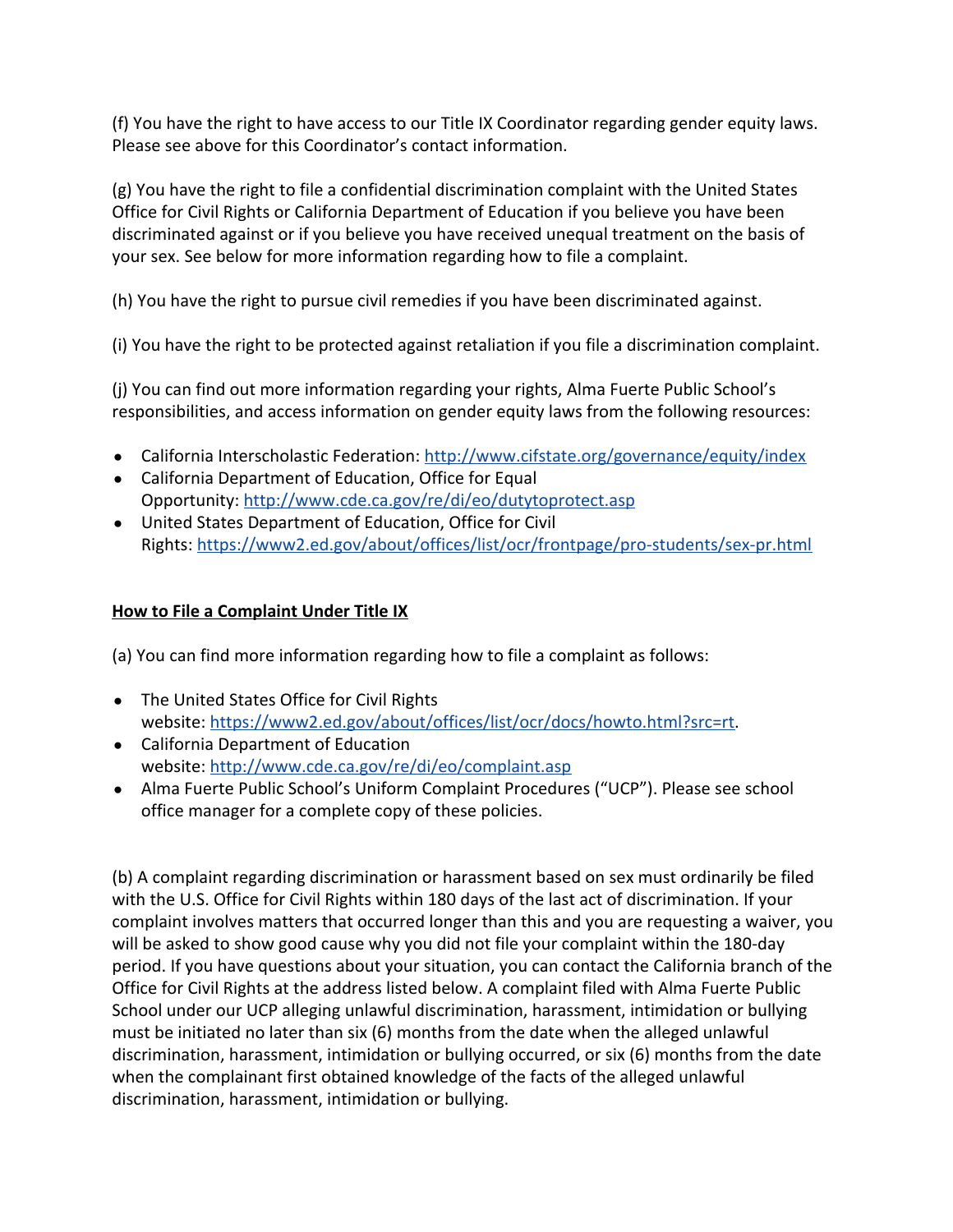(f) You have the right to have access to our Title IX Coordinator regarding gender equity laws. Please see above for this Coordinator's contact information.

(g) You have the right to file a confidential discrimination complaint with the United States Office for Civil Rights or California Department of Education if you believe you have been discriminated against or if you believe you have received unequal treatment on the basis of your sex. See below for more information regarding how to file a complaint.

(h) You have the right to pursue civil remedies if you have been discriminated against.

(i) You have the right to be protected against retaliation if you file a discrimination complaint.

(j) You can find out more information regarding your rights, Alma Fuerte Public School's responsibilities, and access information on gender equity laws from the following resources:

- California Interscholastic Federation: <http://www.cifstate.org/governance/equity/index>
- California Department of Education, Office for Equal Opportunity: <http://www.cde.ca.gov/re/di/eo/dutytoprotect.asp>
- United States Department of Education, Office for Civil Rights: <https://www2.ed.gov/about/offices/list/ocr/frontpage/pro-students/sex-pr.html>

## **How to File a Complaint Under Title IX**

(a) You can find more information regarding how to file a complaint as follows:

- The United States Office for Civil Rights website: <https://www2.ed.gov/about/offices/list/ocr/docs/howto.html?src=rt>.
- California Department of Education website: <http://www.cde.ca.gov/re/di/eo/complaint.asp>
- Alma Fuerte Public School's Uniform Complaint Procedures ("UCP"). Please see school office manager for a complete copy of these policies.

(b) A complaint regarding discrimination or harassment based on sex must ordinarily be filed with the U.S. Office for Civil Rights within 180 days of the last act of discrimination. If your complaint involves matters that occurred longer than this and you are requesting a waiver, you will be asked to show good cause why you did not file your complaint within the 180-day period. If you have questions about your situation, you can contact the California branch of the Office for Civil Rights at the address listed below. A complaint filed with Alma Fuerte Public School under our UCP alleging unlawful discrimination, harassment, intimidation or bullying must be initiated no later than six (6) months from the date when the alleged unlawful discrimination, harassment, intimidation or bullying occurred, or six (6) months from the date when the complainant first obtained knowledge of the facts of the alleged unlawful discrimination, harassment, intimidation or bullying.